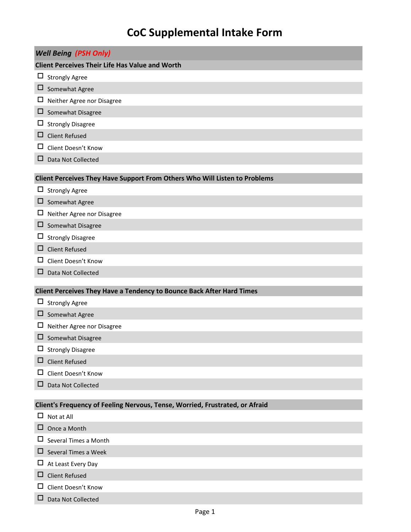## **CoC Supplemental Intake Form**

|                                                        | <b>Well Being (PSH Only)</b>                                                 |  |  |  |
|--------------------------------------------------------|------------------------------------------------------------------------------|--|--|--|
| <b>Client Perceives Their Life Has Value and Worth</b> |                                                                              |  |  |  |
|                                                        | $\Box$ Strongly Agree                                                        |  |  |  |
|                                                        | $\Box$ Somewhat Agree                                                        |  |  |  |
| ц                                                      | Neither Agree nor Disagree                                                   |  |  |  |
|                                                        | $\square$ Somewhat Disagree                                                  |  |  |  |
| ப                                                      | <b>Strongly Disagree</b>                                                     |  |  |  |
| ⊔                                                      | <b>Client Refused</b>                                                        |  |  |  |
| ப                                                      | Client Doesn't Know                                                          |  |  |  |
| □                                                      | Data Not Collected                                                           |  |  |  |
|                                                        |                                                                              |  |  |  |
|                                                        | Client Perceives They Have Support From Others Who Will Listen to Problems   |  |  |  |
| Ц                                                      | <b>Strongly Agree</b>                                                        |  |  |  |
| ц                                                      | Somewhat Agree                                                               |  |  |  |
| ப                                                      | Neither Agree nor Disagree                                                   |  |  |  |
| Ц                                                      | Somewhat Disagree<br>$\Box$ Strongly Disagree                                |  |  |  |
| □                                                      | <b>Client Refused</b>                                                        |  |  |  |
| ப                                                      | Client Doesn't Know                                                          |  |  |  |
| ப                                                      |                                                                              |  |  |  |
|                                                        | Data Not Collected                                                           |  |  |  |
|                                                        | Client Perceives They Have a Tendency to Bounce Back After Hard Times        |  |  |  |
|                                                        | $\Box$ Strongly Agree                                                        |  |  |  |
|                                                        | $\Box$ Somewhat Agree                                                        |  |  |  |
| ப                                                      | Neither Agree nor Disagree                                                   |  |  |  |
|                                                        | $\Box$ Somewhat Disagree                                                     |  |  |  |
| ப                                                      | <b>Strongly Disagree</b>                                                     |  |  |  |
| ப                                                      | <b>Client Refused</b>                                                        |  |  |  |
| ப                                                      | Client Doesn't Know                                                          |  |  |  |
| □                                                      | Data Not Collected                                                           |  |  |  |
|                                                        |                                                                              |  |  |  |
|                                                        | Client's Frequency of Feeling Nervous, Tense, Worried, Frustrated, or Afraid |  |  |  |
| $\Box$                                                 | Not at All                                                                   |  |  |  |
| ⊔                                                      | Once a Month                                                                 |  |  |  |
| ப                                                      | Several Times a Month                                                        |  |  |  |
| ⊔                                                      | Several Times a Week                                                         |  |  |  |
| ப                                                      | At Least Every Day                                                           |  |  |  |
| ⊔                                                      | <b>Client Refused</b>                                                        |  |  |  |

- Client Doesn't Know
- Data Not Collected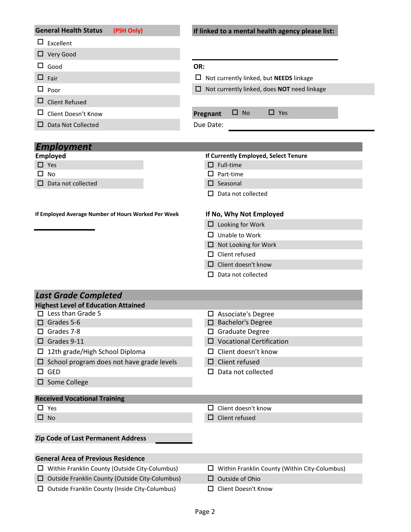|        | <b>General Health Status</b>                                                                             | (PSH Only) | If linked to a mental health agency please list:                                                      |  |  |
|--------|----------------------------------------------------------------------------------------------------------|------------|-------------------------------------------------------------------------------------------------------|--|--|
|        | $\Box$ Excellent                                                                                         |            |                                                                                                       |  |  |
|        | $\Box$ Very Good                                                                                         |            |                                                                                                       |  |  |
|        | $\Box$ Good                                                                                              |            | OR:                                                                                                   |  |  |
|        | $\Box$ Fair                                                                                              |            | $\Box$ Not currently linked, but <b>NEEDS</b> linkage                                                 |  |  |
| $\Box$ | Poor                                                                                                     |            | $\Box$ Not currently linked, does NOT need linkage                                                    |  |  |
| □      | <b>Client Refused</b>                                                                                    |            |                                                                                                       |  |  |
| ப      | Client Doesn't Know                                                                                      |            | $\Box$ Yes<br>$\Box$ No<br>Pregnant                                                                   |  |  |
|        | $\Box$ Data Not Collected                                                                                |            | Due Date:                                                                                             |  |  |
|        |                                                                                                          |            |                                                                                                       |  |  |
|        | <b>Employment</b>                                                                                        |            |                                                                                                       |  |  |
|        | <b>Employed</b>                                                                                          |            | If Currently Employed, Select Tenure                                                                  |  |  |
|        | $\Box$ Yes                                                                                               |            | $\Box$ Full-time                                                                                      |  |  |
| ΙI     | <b>No</b>                                                                                                |            | Part-time<br>ப                                                                                        |  |  |
| П.     | Data not collected                                                                                       |            | $\Box$ Seasonal                                                                                       |  |  |
|        |                                                                                                          |            | Data not collected<br>$\Box$                                                                          |  |  |
|        | If Employed Average Number of Hours Worked Per Week                                                      |            | If No, Why Not Employed                                                                               |  |  |
|        |                                                                                                          |            | $\Box$ Looking for Work                                                                               |  |  |
|        |                                                                                                          |            | Unable to Work<br>ш.                                                                                  |  |  |
|        |                                                                                                          |            | $\Box$ Not Looking for Work                                                                           |  |  |
|        |                                                                                                          |            | $\Box$ Client refused                                                                                 |  |  |
|        |                                                                                                          |            | Client doesn't know                                                                                   |  |  |
|        |                                                                                                          |            | □                                                                                                     |  |  |
|        |                                                                                                          |            | Data not collected<br>□                                                                               |  |  |
|        | <b>Last Grade Completed</b>                                                                              |            |                                                                                                       |  |  |
|        | <b>Highest Level of Education Attained</b>                                                               |            |                                                                                                       |  |  |
|        | $\Box$ Less than Grade 5                                                                                 |            | $\Box$ Associate's Degree                                                                             |  |  |
|        | $\Box$ Grades 5-6                                                                                        |            | $\Box$ Bachelor's Degree                                                                              |  |  |
|        | Grades 7-8                                                                                               |            | □ Graduate Degree                                                                                     |  |  |
|        | $\square$ Grades 9-11                                                                                    |            | $\square$ Vocational Certification                                                                    |  |  |
| ш      | 12th grade/High School Diploma                                                                           |            | $\Box$ Client doesn't know                                                                            |  |  |
|        | $\Box$ School program does not have grade levels                                                         |            | $\Box$ Client refused                                                                                 |  |  |
| □      | <b>GED</b><br>$\square$ Some College                                                                     |            | $\square$ Data not collected                                                                          |  |  |
|        |                                                                                                          |            |                                                                                                       |  |  |
|        | <b>Received Vocational Training</b>                                                                      |            |                                                                                                       |  |  |
|        | Yes                                                                                                      |            | Client doesn't know<br>□                                                                              |  |  |
|        | $\Box$ No                                                                                                |            | Client refused<br>□.                                                                                  |  |  |
|        |                                                                                                          |            |                                                                                                       |  |  |
|        | Zip Code of Last Permanent Address                                                                       |            |                                                                                                       |  |  |
|        |                                                                                                          |            |                                                                                                       |  |  |
|        | <b>General Area of Previous Residence</b>                                                                |            |                                                                                                       |  |  |
| ш      | Within Franklin County (Outside City-Columbus)                                                           |            |                                                                                                       |  |  |
|        | $\Box$ Outside Franklin County (Outside City-Columbus)<br>Outside Franklin County (Inside City-Columbus) |            | $\Box$ Within Franklin County (Within City-Columbus)<br>$\Box$ Outside of Ohio<br>Client Doesn't Know |  |  |